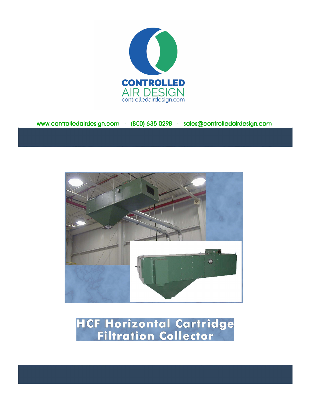

www.controlle**d**air**d**esi**g**n.com - **(**800**)** 635 0298 - sales**@**controlle**d**air**d**esi**g**n.com



**HCF Horizontal Cartridge<br>Filtration Collector**